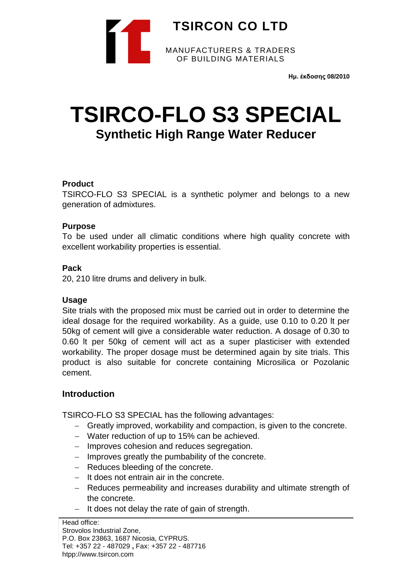

**Ημ. έκδοσης 08/2010**

# **TSIRCO-FLO S3 SPECIAL Synthetic High Range Water Reducer**

### **Product**

TSIRCO-FLO S3 SPECIAL is a synthetic polymer and belongs to a new generation of admixtures.

## **Purpose**

To be used under all climatic conditions where high quality concrete with excellent workability properties is essential.

## **Pack**

20, 210 litre drums and delivery in bulk.

### **Usage**

Site trials with the proposed mix must be carried out in order to determine the ideal dosage for the required workability. As a guide, use 0.10 to 0.20 lt per 50kg of cement will give a considerable water reduction. A dosage of 0.30 to 0.60 lt per 50kg of cement will act as a super plasticiser with extended workability. The proper dosage must be determined again by site trials. This product is also suitable for concrete containing Microsilica or Pozolanic cement.

# **Introduction**

TSIRCO-FLO S3 SPECIAL has the following advantages:

- − Greatly improved, workability and compaction, is given to the concrete.
- − Water reduction of up to 15% can be achieved.
- − Improves cohesion and reduces segregation.
- − Improves greatly the pumbability of the concrete.
- − Reduces bleeding of the concrete.
- − It does not entrain air in the concrete.
- − Reduces permeability and increases durability and ultimate strength of the concrete.
- − It does not delay the rate of gain of strength.